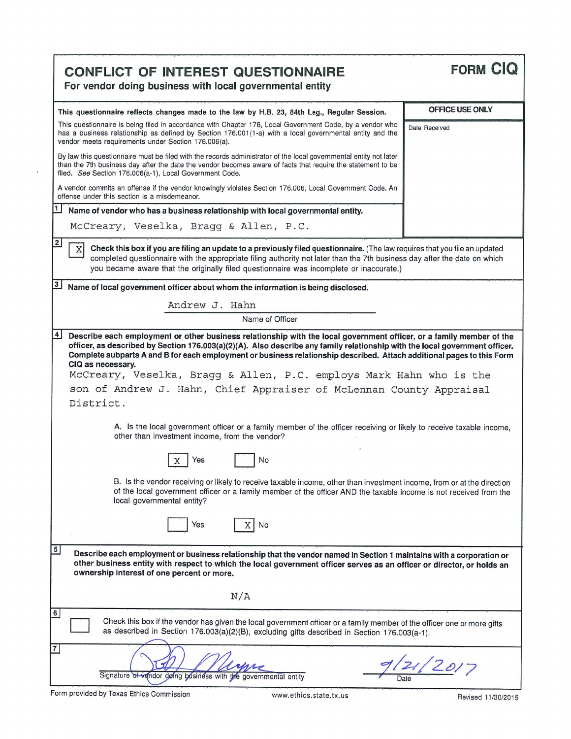| <b>CONFLICT OF INTEREST QUESTIONNAIRE</b><br>For vendor doing business with local governmental entity                                                                                                                                                                                                                                                                                                                                                                                                                                                                                                                                                                                                                                                                                                                                                                                                                                                                                                                                                                   | <b>FORM CIQ</b> |  |  |  |  |  |
|-------------------------------------------------------------------------------------------------------------------------------------------------------------------------------------------------------------------------------------------------------------------------------------------------------------------------------------------------------------------------------------------------------------------------------------------------------------------------------------------------------------------------------------------------------------------------------------------------------------------------------------------------------------------------------------------------------------------------------------------------------------------------------------------------------------------------------------------------------------------------------------------------------------------------------------------------------------------------------------------------------------------------------------------------------------------------|-----------------|--|--|--|--|--|
| This questionnaire reflects changes made to the law by H.B. 23, 84th Leg., Regular Session.                                                                                                                                                                                                                                                                                                                                                                                                                                                                                                                                                                                                                                                                                                                                                                                                                                                                                                                                                                             | OFFICE USE ONLY |  |  |  |  |  |
| This questionnaire is being filed in accordance with Chapter 176, Local Government Code, by a vendor who<br>has a business relationship as defined by Section 176.001(1-a) with a local governmental entity and the<br>vendor meets requirements under Section 176.006(a).                                                                                                                                                                                                                                                                                                                                                                                                                                                                                                                                                                                                                                                                                                                                                                                              | Date Received   |  |  |  |  |  |
| By law this questionnaire must be filed with the records administrator of the local governmental entity not later<br>than the 7th business day after the date the vendor becomes aware of facts that require the statement to be<br>filed. See Section 176.006(a-1), Local Government Code.                                                                                                                                                                                                                                                                                                                                                                                                                                                                                                                                                                                                                                                                                                                                                                             |                 |  |  |  |  |  |
| A vendor commits an offense if the vendor knowingly violates Section 176.006, Local Government Code. An<br>offense under this section is a misdemeanor.                                                                                                                                                                                                                                                                                                                                                                                                                                                                                                                                                                                                                                                                                                                                                                                                                                                                                                                 |                 |  |  |  |  |  |
| 1<br>Name of vendor who has a business relationship with local governmental entity.                                                                                                                                                                                                                                                                                                                                                                                                                                                                                                                                                                                                                                                                                                                                                                                                                                                                                                                                                                                     |                 |  |  |  |  |  |
| McCreary, Veselka, Bragg & Allen, P.C.                                                                                                                                                                                                                                                                                                                                                                                                                                                                                                                                                                                                                                                                                                                                                                                                                                                                                                                                                                                                                                  |                 |  |  |  |  |  |
| $\overline{2}$<br>Check this box if you are filing an update to a previously filed questionnaire. (The law requires that you file an updated<br>X<br>completed questionnaire with the appropriate filing authority not later than the 7th business day after the date on which<br>you became aware that the originally filed questionnaire was incomplete or inaccurate.)                                                                                                                                                                                                                                                                                                                                                                                                                                                                                                                                                                                                                                                                                               |                 |  |  |  |  |  |
| $\overline{\mathbf{3}}$<br>Name of local government officer about whom the information is being disclosed.                                                                                                                                                                                                                                                                                                                                                                                                                                                                                                                                                                                                                                                                                                                                                                                                                                                                                                                                                              |                 |  |  |  |  |  |
| Andrew J. Hahn                                                                                                                                                                                                                                                                                                                                                                                                                                                                                                                                                                                                                                                                                                                                                                                                                                                                                                                                                                                                                                                          |                 |  |  |  |  |  |
| Name of Officer                                                                                                                                                                                                                                                                                                                                                                                                                                                                                                                                                                                                                                                                                                                                                                                                                                                                                                                                                                                                                                                         |                 |  |  |  |  |  |
| 4<br>Describe each employment or other business relationship with the local government officer, or a family member of the<br>officer, as described by Section 176.003(a)(2)(A). Also describe any family relationship with the local government officer.<br>Complete subparts A and B for each employment or business relationship described. Attach additional pages to this Form<br>CIQ as necessary.<br>McCreary, Veselka, Bragg & Allen, P.C. employs Mark Hahn who is the<br>son of Andrew J. Hahn, Chief Appraiser of McLennan County Appraisal<br>District.<br>A. Is the local government officer or a family member of the officer receiving or likely to receive taxable income,<br>other than investment income, from the vendor?<br>Yes<br>No<br>Х<br>B. Is the vendor receiving or likely to receive taxable income, other than investment income, from or at the direction<br>of the local government officer or a family member of the officer AND the taxable income is not received from the<br>local governmental entity?<br>Yes<br>$\mathbf{x}$<br>No |                 |  |  |  |  |  |
| 5<br>Describe each employment or business relationship that the vendor named in Section 1 maintains with a corporation or<br>other business entity with respect to which the local government officer serves as an officer or director, or holds an<br>ownership interest of one percent or more.                                                                                                                                                                                                                                                                                                                                                                                                                                                                                                                                                                                                                                                                                                                                                                       |                 |  |  |  |  |  |
| N/A                                                                                                                                                                                                                                                                                                                                                                                                                                                                                                                                                                                                                                                                                                                                                                                                                                                                                                                                                                                                                                                                     |                 |  |  |  |  |  |
| $6\phantom{.}$<br>Check this box if the vendor has given the local government officer or a family member of the officer one or more gifts<br>as described in Section 176.003(a)(2)(B), excluding gifts described in Section 176.003(a-1).                                                                                                                                                                                                                                                                                                                                                                                                                                                                                                                                                                                                                                                                                                                                                                                                                               |                 |  |  |  |  |  |
| 7<br>Signature of vendor doing business with the governmental entity                                                                                                                                                                                                                                                                                                                                                                                                                                                                                                                                                                                                                                                                                                                                                                                                                                                                                                                                                                                                    | 121/2017        |  |  |  |  |  |

 $\bar{\epsilon}$